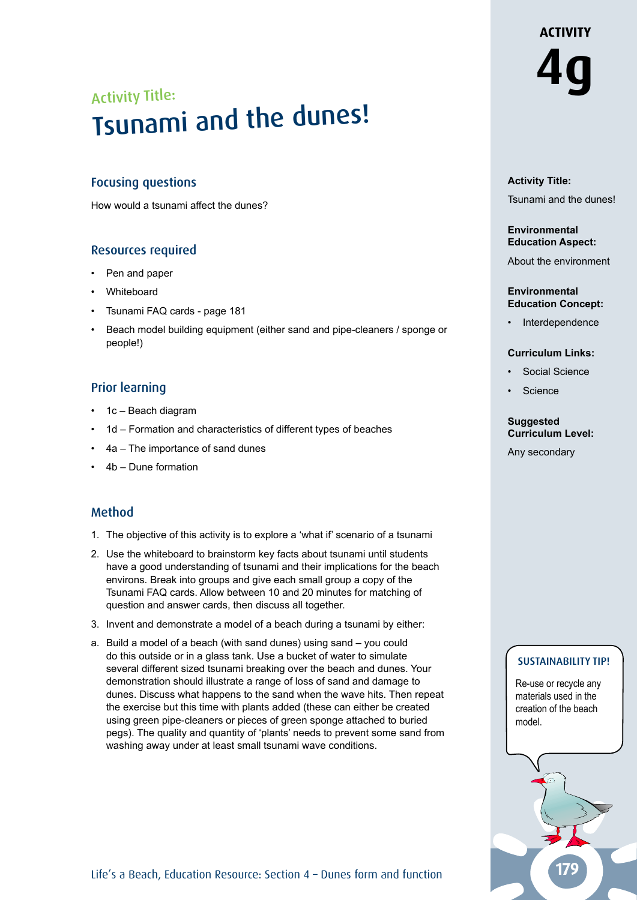# Activity Title: **4g** Activity Title: Activity Title:<br>Tsunami and the dunes!

## Focusing questions

How would a tsunami affect the dunes?

## Resources required

- Pen and paper
- Whiteboard
- Tsunami FAQ cards page 181
- Beach model building equipment (either sand and pipe-cleaners / sponge or people!)

## Prior learning

- 1c Beach diagram
- 1d Formation and characteristics of different types of beaches
- 4a The importance of sand dunes
- 4b Dune formation

## Method

- 1. The objective of this activity is to explore a 'what if' scenario of a tsunami
- 2. Use the whiteboard to brainstorm key facts about tsunami until students have a good understanding of tsunami and their implications for the beach environs. Break into groups and give each small group a copy of the Tsunami FAQ cards. Allow between 10 and 20 minutes for matching of question and answer cards, then discuss all together.
- 3. Invent and demonstrate a model of a beach during a tsunami by either:
- a. Build a model of a beach (with sand dunes) using sand you could do this outside or in a glass tank. Use a bucket of water to simulate several different sized tsunami breaking over the beach and dunes. Your demonstration should illustrate a range of loss of sand and damage to dunes. Discuss what happens to the sand when the wave hits. Then repeat the exercise but this time with plants added (these can either be created using green pipe-cleaners or pieces of green sponge attached to buried pegs). The quality and quantity of 'plants' needs to prevent some sand from washing away under at least small tsunami wave conditions.

### **Activity Title:** Tsunami and the dunes!

#### **Environmental Education Aspect:**

About the environment

#### **Environmental Education Concept:**

**Interdependence** 

#### **Curriculum Links:**

- Social Science
- **Science**

#### **Suggested Curriculum Level:**

Any secondary

## SUSTAINABILITY TIP!

Re-use or recycle any materials used in the creation of the beach model.

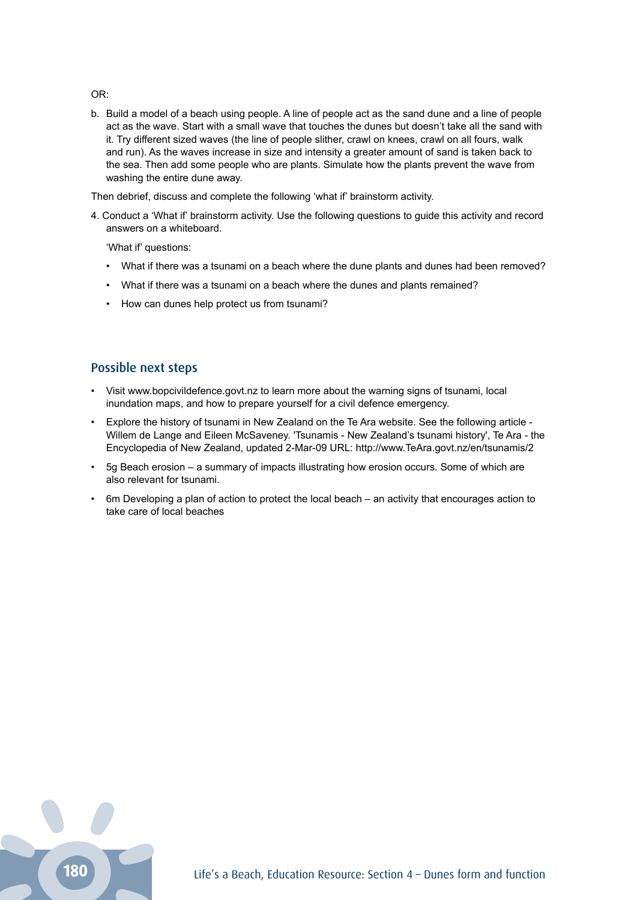OR:

b. Build a model of a beach using people. A line of people act as the sand dune and a line of people act as the wave. Start with a small wave that touches the dunes but doesn't take all the sand with it. Try different sized waves (the line of people slither, crawl on knees, crawl on all fours, walk and run). As the waves increase in size and intensity a greater amount of sand is taken back to the sea. Then add some people who are plants. Simulate how the plants prevent the wave from washing the entire dune away.

Then debrief, discuss and complete the following 'what if' brainstorm activity.

4. Conduct a 'What if' brainstorm activity. Use the following questions to guide this activity and record answers on a whiteboard.

'What if' questions:

- What if there was a tsunami on a beach where the dune plants and dunes had been removed?
- What if there was a tsunami on a beach where the dunes and plants remained?
- How can dunes help protect us from tsunami?

#### Possible next steps

- Visit www.bopcivildefence.govt.nz to learn more about the warning signs of tsunami, local inundation maps, and how to prepare yourself for a civil defence emergency.
- Explore the history of tsunami in New Zealand on the Te Ara website. See the following article Willem de Lange and Eileen McSaveney. 'Tsunamis - New Zealand's tsunami history', Te Ara - the Encyclopedia of New Zealand, updated 2-Mar-09 URL: http://www.TeAra.govt.nz/en/tsunamis/2
- 5g Beach erosion a summary of impacts illustrating how erosion occurs. Some of which are also relevant for tsunami.
- 6m Developing a plan of action to protect the local beach an activity that encourages action to take care of local beaches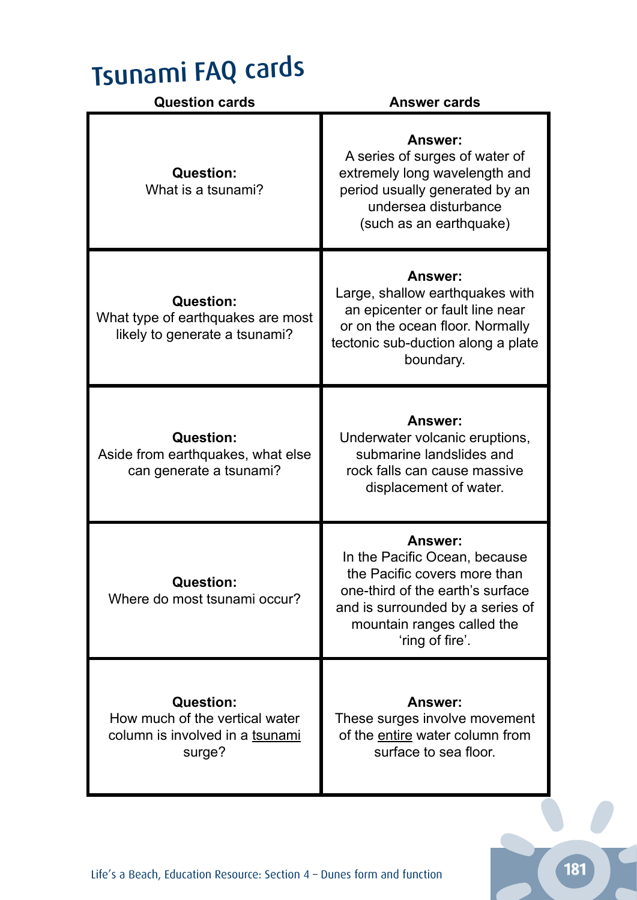## Tsunami FAQ cards

| <b>Question cards</b>                                                                           | <b>Answer cards</b>                                                                                                                                                                                      |
|-------------------------------------------------------------------------------------------------|----------------------------------------------------------------------------------------------------------------------------------------------------------------------------------------------------------|
| <b>Question:</b><br>What is a tsunami?                                                          | <b>Answer:</b><br>A series of surges of water of<br>extremely long wavelength and<br>period usually generated by an<br>undersea disturbance<br>(such as an earthquake)                                   |
| <b>Question:</b><br>What type of earthquakes are most<br>likely to generate a tsunami?          | <b>Answer:</b><br>Large, shallow earthquakes with<br>an epicenter or fault line near<br>or on the ocean floor. Normally<br>tectonic sub-duction along a plate<br>boundary.                               |
| <b>Question:</b><br>Aside from earthquakes, what else<br>can generate a tsunami?                | <b>Answer:</b><br>Underwater volcanic eruptions,<br>submarine landslides and<br>rock falls can cause massive<br>displacement of water.                                                                   |
| <b>Question:</b><br>Where do most tsunami occur?                                                | <b>Answer:</b><br>In the Pacific Ocean, because<br>the Pacific covers more than<br>one-third of the earth's surface<br>and is surrounded by a series of<br>mountain ranges called the<br>'ring of fire'. |
| <b>Question:</b><br>How much of the vertical water<br>column is involved in a tsunami<br>surge? | <b>Answer:</b><br>These surges involve movement<br>of the entire water column from<br>surface to sea floor.                                                                                              |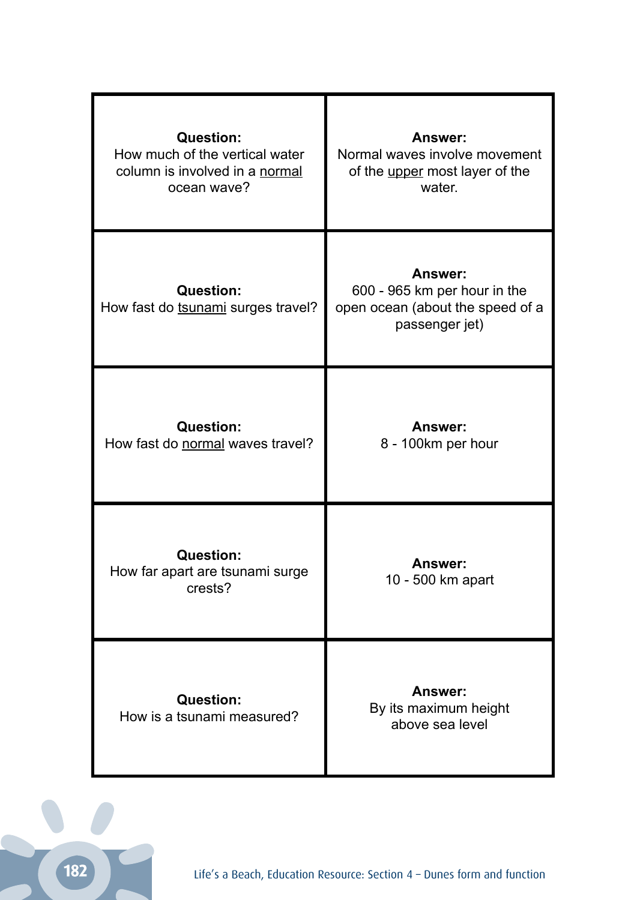| <b>Question:</b><br>How much of the vertical water<br>column is involved in a normal<br>ocean wave? | <b>Answer:</b><br>Normal waves involve movement<br>of the upper most layer of the<br>water.          |
|-----------------------------------------------------------------------------------------------------|------------------------------------------------------------------------------------------------------|
| <b>Question:</b><br>How fast do tsunami surges travel?                                              | <b>Answer:</b><br>600 - 965 km per hour in the<br>open ocean (about the speed of a<br>passenger jet) |
| <b>Question:</b><br>How fast do normal waves travel?                                                | Answer:<br>8 - 100km per hour                                                                        |
| <b>Question:</b><br>How far apart are tsunami surge<br>crests?                                      | <b>Answer:</b><br>10 - 500 km apart                                                                  |
| <b>Question:</b><br>How is a tsunami measured?                                                      | <b>Answer:</b><br>By its maximum height<br>above sea level                                           |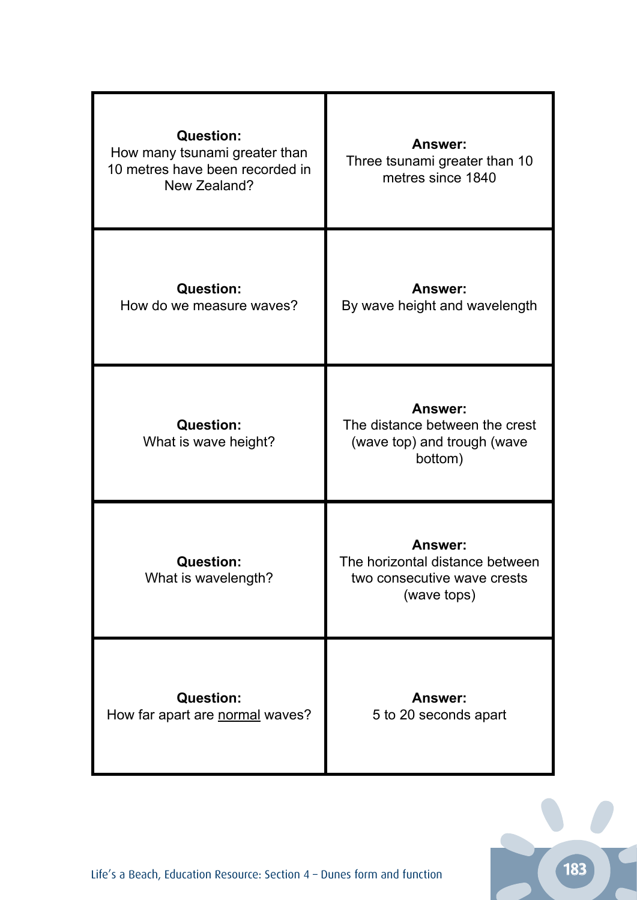| <b>Question:</b><br>How many tsunami greater than<br>10 metres have been recorded in<br>New Zealand? | <b>Answer:</b><br>Three tsunami greater than 10<br>metres since 1840                     |
|------------------------------------------------------------------------------------------------------|------------------------------------------------------------------------------------------|
| <b>Question:</b><br>How do we measure waves?                                                         | <b>Answer:</b><br>By wave height and wavelength                                          |
| <b>Question:</b><br>What is wave height?                                                             | Answer:<br>The distance between the crest<br>(wave top) and trough (wave<br>bottom)      |
| <b>Question:</b><br>What is wavelength?                                                              | Answer:<br>The horizontal distance between<br>two consecutive wave crests<br>(wave tops) |
| <b>Question:</b><br>How far apart are normal waves?                                                  | <b>Answer:</b><br>5 to 20 seconds apart                                                  |